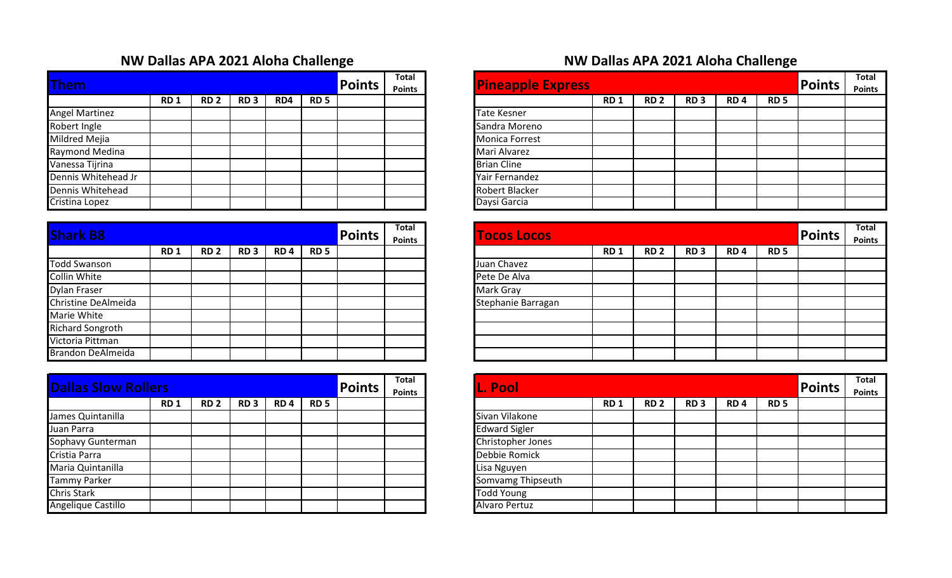## **NW Dallas APA 2021 Aloha Challenge NW Dallas APA 2021 Aloha Challenge**

|                       |            |             |                 |     |            |               | <b>Total</b>  |                          |
|-----------------------|------------|-------------|-----------------|-----|------------|---------------|---------------|--------------------------|
| <b>Them</b>           |            |             |                 |     |            | <b>Points</b> | <b>Points</b> | <b>Pineapple Express</b> |
|                       | <b>RD1</b> | <b>RD 2</b> | RD <sub>3</sub> | RD4 | <b>RD5</b> |               |               |                          |
| <b>Angel Martinez</b> |            |             |                 |     |            |               |               | <b>Tate Kesner</b>       |
| Robert Ingle          |            |             |                 |     |            |               |               | Sandra Moreno            |
| Mildred Mejia         |            |             |                 |     |            |               |               | <b>Monica Forrest</b>    |
| Raymond Medina        |            |             |                 |     |            |               |               | Mari Alvarez             |
| Vanessa Tijrina       |            |             |                 |     |            |               |               | <b>Brian Cline</b>       |
| Dennis Whitehead Jr   |            |             |                 |     |            |               |               | Yair Fernandez           |
| Dennis Whitehead      |            |             |                 |     |            |               |               | <b>Robert Blacker</b>    |
| Cristina Lopez        |            |             |                 |     |            |               |               | Daysi Garcia             |

| <b>Shark B8</b>          |            |             |                 |                 |             | <b>Points</b> | <b>Total</b><br><b>Points</b> |
|--------------------------|------------|-------------|-----------------|-----------------|-------------|---------------|-------------------------------|
|                          | <b>RD1</b> | <b>RD 2</b> | RD <sub>3</sub> | RD <sub>4</sub> | <b>RD 5</b> |               |                               |
| Todd Swanson             |            |             |                 |                 |             |               |                               |
| <b>Collin White</b>      |            |             |                 |                 |             |               |                               |
| <b>Dylan Fraser</b>      |            |             |                 |                 |             |               |                               |
| Christine DeAlmeida      |            |             |                 |                 |             |               |                               |
| Marie White              |            |             |                 |                 |             |               |                               |
| <b>Richard Songroth</b>  |            |             |                 |                 |             |               |                               |
| Victoria Pittman         |            |             |                 |                 |             |               |                               |
| <b>Brandon DeAlmeida</b> |            |             |                 |                 |             |               |                               |

| <b>Dallas Slow Rollers</b> |            |                 |                 |                 |             | <b>Points</b> | <b>Total</b><br><b>Points</b> | <b>L. Pool</b>           |
|----------------------------|------------|-----------------|-----------------|-----------------|-------------|---------------|-------------------------------|--------------------------|
|                            | <b>RD1</b> | RD <sub>2</sub> | RD <sub>3</sub> | RD <sub>4</sub> | <b>RD 5</b> |               |                               |                          |
| James Quintanilla          |            |                 |                 |                 |             |               |                               | Sivan Vilakone           |
| Juan Parra                 |            |                 |                 |                 |             |               |                               | <b>Edward Sigler</b>     |
| Sophavy Gunterman          |            |                 |                 |                 |             |               |                               | <b>Christopher Jones</b> |
| Cristia Parra              |            |                 |                 |                 |             |               |                               | Debbie Romick            |
| Maria Quintanilla          |            |                 |                 |                 |             |               |                               | Lisa Nguyen              |
| <b>Tammy Parker</b>        |            |                 |                 |                 |             |               |                               | <b>Somvamg Thipseuth</b> |
| <b>Chris Stark</b>         |            |                 |                 |                 |             |               |                               | <b>Todd Young</b>        |
| Angelique Castillo         |            |                 |                 |                 |             |               |                               | <b>Alvaro Pertuz</b>     |

|                 |             |                 |     |             | <b>Points</b> | <b>Total</b><br><b>Points</b> | <b>Pineapple Express</b> |            |             |                 |                 |             | <b>Points</b> | Total<br><b>Points</b> |
|-----------------|-------------|-----------------|-----|-------------|---------------|-------------------------------|--------------------------|------------|-------------|-----------------|-----------------|-------------|---------------|------------------------|
| RD <sub>1</sub> | <b>RD 2</b> | RD <sub>3</sub> | RD4 | <b>RD 5</b> |               |                               |                          | <b>RD1</b> | <b>RD 2</b> | RD <sub>3</sub> | RD <sub>4</sub> | <b>RD 5</b> |               |                        |
|                 |             |                 |     |             |               |                               | <b>Tate Kesner</b>       |            |             |                 |                 |             |               |                        |
|                 |             |                 |     |             |               |                               | Sandra Moreno            |            |             |                 |                 |             |               |                        |
|                 |             |                 |     |             |               |                               | <b>Monica Forrest</b>    |            |             |                 |                 |             |               |                        |
|                 |             |                 |     |             |               |                               | Mari Alvarez             |            |             |                 |                 |             |               |                        |
|                 |             |                 |     |             |               |                               | <b>Brian Cline</b>       |            |             |                 |                 |             |               |                        |
|                 |             |                 |     |             |               |                               | Yair Fernandez           |            |             |                 |                 |             |               |                        |
|                 |             |                 |     |             |               |                               | Robert Blacker           |            |             |                 |                 |             |               |                        |
|                 |             |                 |     |             |               |                               | Daysi Garcia             |            |             |                 |                 |             |               |                        |

|                 |                 |                 |                 |             | <b>Points</b> | Total<br><b>Points</b> | <b>Tocos Locos</b> |            |             |                 |                 |             | <b>Points</b> | Total<br><b>Points</b> |
|-----------------|-----------------|-----------------|-----------------|-------------|---------------|------------------------|--------------------|------------|-------------|-----------------|-----------------|-------------|---------------|------------------------|
| RD <sub>1</sub> | RD <sub>2</sub> | RD <sub>3</sub> | RD <sub>4</sub> | <b>RD 5</b> |               |                        |                    | <b>RD1</b> | <b>RD 2</b> | RD <sub>3</sub> | RD <sub>4</sub> | <b>RD 5</b> |               |                        |
|                 |                 |                 |                 |             |               |                        | Juan Chavez        |            |             |                 |                 |             |               |                        |
|                 |                 |                 |                 |             |               |                        | Pete De Alva       |            |             |                 |                 |             |               |                        |
|                 |                 |                 |                 |             |               |                        | Mark Gray          |            |             |                 |                 |             |               |                        |
|                 |                 |                 |                 |             |               |                        | Stephanie Barragan |            |             |                 |                 |             |               |                        |
|                 |                 |                 |                 |             |               |                        |                    |            |             |                 |                 |             |               |                        |
|                 |                 |                 |                 |             |               |                        |                    |            |             |                 |                 |             |               |                        |
|                 |                 |                 |                 |             |               |                        |                    |            |             |                 |                 |             |               |                        |
|                 |                 |                 |                 |             |               |                        |                    |            |             |                 |                 |             |               |                        |

| 'S              |             |                 |                 |             | <b>Points</b> | <b>Total</b><br><b>Points</b> | L. Pool              |            |             |                 |                 |             | Points | <b>Total</b><br><b>Points</b> |
|-----------------|-------------|-----------------|-----------------|-------------|---------------|-------------------------------|----------------------|------------|-------------|-----------------|-----------------|-------------|--------|-------------------------------|
| RD <sub>1</sub> | <b>RD 2</b> | RD <sub>3</sub> | RD <sub>4</sub> | <b>RD 5</b> |               |                               |                      | <b>RD1</b> | <b>RD 2</b> | RD <sub>3</sub> | RD <sub>4</sub> | <b>RD 5</b> |        |                               |
|                 |             |                 |                 |             |               |                               | Sivan Vilakone       |            |             |                 |                 |             |        |                               |
|                 |             |                 |                 |             |               |                               | <b>Edward Sigler</b> |            |             |                 |                 |             |        |                               |
|                 |             |                 |                 |             |               |                               | Christopher Jones    |            |             |                 |                 |             |        |                               |
|                 |             |                 |                 |             |               |                               | Debbie Romick        |            |             |                 |                 |             |        |                               |
|                 |             |                 |                 |             |               |                               | Lisa Nguyen          |            |             |                 |                 |             |        |                               |
|                 |             |                 |                 |             |               |                               | Somvamg Thipseuth    |            |             |                 |                 |             |        |                               |
|                 |             |                 |                 |             |               |                               | <b>Todd Young</b>    |            |             |                 |                 |             |        |                               |
|                 |             |                 |                 |             |               |                               | <b>Alvaro Pertuz</b> |            |             |                 |                 |             |        |                               |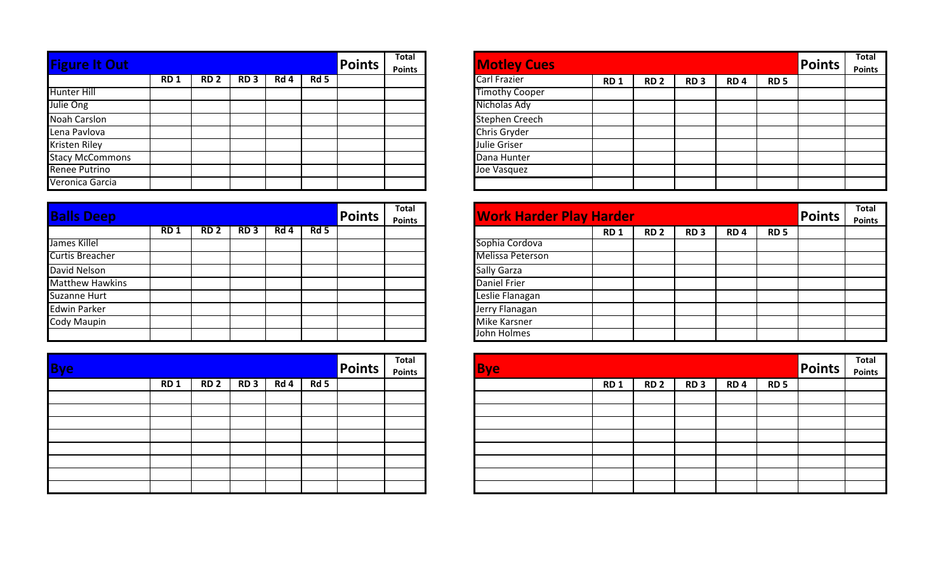| <b>Figure It Out</b>   |            |                 |                 |      |        | <b>Points</b> | <b>Total</b>  |
|------------------------|------------|-----------------|-----------------|------|--------|---------------|---------------|
|                        | <b>RD1</b> | RD <sub>2</sub> | RD <sub>3</sub> | Rd 4 | $Rd$ 5 |               | <b>Points</b> |
| <b>Hunter Hill</b>     |            |                 |                 |      |        |               |               |
| Julie Ong              |            |                 |                 |      |        |               |               |
| <b>Noah Carslon</b>    |            |                 |                 |      |        |               |               |
| Lena Pavlova           |            |                 |                 |      |        |               |               |
| Kristen Riley          |            |                 |                 |      |        |               |               |
| <b>Stacy McCommons</b> |            |                 |                 |      |        |               |               |
| <b>Renee Putrino</b>   |            |                 |                 |      |        |               |               |
| Veronica Garcia        |            |                 |                 |      |        |               |               |

| <b>Balls Deep</b>      |            |                 |                 |      |      | <b>Points</b> | Total<br><b>Points</b> | <b>Work Harder Play Harder</b> |            |
|------------------------|------------|-----------------|-----------------|------|------|---------------|------------------------|--------------------------------|------------|
|                        | <b>RD1</b> | RD <sub>2</sub> | RD <sub>3</sub> | Rd 4 | Rd 5 |               |                        |                                | <b>RD1</b> |
| James Killel           |            |                 |                 |      |      |               |                        | Sophia Cordova                 |            |
| <b>Curtis Breacher</b> |            |                 |                 |      |      |               |                        | Melissa Peterson               |            |
| David Nelson           |            |                 |                 |      |      |               |                        | <b>Sally Garza</b>             |            |
| <b>Matthew Hawkins</b> |            |                 |                 |      |      |               |                        | <b>Daniel Frier</b>            |            |
| Suzanne Hurt           |            |                 |                 |      |      |               |                        | Leslie Flanagan                |            |
| <b>Edwin Parker</b>    |            |                 |                 |      |      |               |                        | Jerry Flanagan                 |            |
| Cody Maupin            |            |                 |                 |      |      |               |                        | <b>Mike Karsner</b>            |            |
|                        |            |                 |                 |      |      |               |                        | John Holmes                    |            |

| <b>Bye</b> |            |                 |                 |      |      | Points | Total<br>Points | <b>Bye</b> |
|------------|------------|-----------------|-----------------|------|------|--------|-----------------|------------|
|            | <b>RD1</b> | RD <sub>2</sub> | RD <sub>3</sub> | Rd 4 | Rd 5 |        |                 |            |
|            |            |                 |                 |      |      |        |                 |            |
|            |            |                 |                 |      |      |        |                 |            |
|            |            |                 |                 |      |      |        |                 |            |
|            |            |                 |                 |      |      |        |                 |            |
|            |            |                 |                 |      |      |        |                 |            |
|            |            |                 |                 |      |      |        |                 |            |
|            |            |                 |                 |      |      |        |                 |            |
|            |            |                 |                 |      |      |        |                 |            |

|                 |             |                 |      |     | <b>Points</b> | Total<br><b>Points</b> | <b>Motley Cues</b>    |            |             |                 |                 |             | <b>Points</b> | <b>Total</b><br><b>Points</b> |
|-----------------|-------------|-----------------|------|-----|---------------|------------------------|-----------------------|------------|-------------|-----------------|-----------------|-------------|---------------|-------------------------------|
| RD <sub>1</sub> | <b>RD 2</b> | RD <sub>3</sub> | Rd 4 | Rd5 |               |                        | Carl Frazier          | <b>RD1</b> | <b>RD 2</b> | RD <sub>3</sub> | RD <sub>4</sub> | <b>RD 5</b> |               |                               |
|                 |             |                 |      |     |               |                        | <b>Timothy Cooper</b> |            |             |                 |                 |             |               |                               |
|                 |             |                 |      |     |               |                        | Nicholas Ady          |            |             |                 |                 |             |               |                               |
|                 |             |                 |      |     |               |                        | <b>Stephen Creech</b> |            |             |                 |                 |             |               |                               |
|                 |             |                 |      |     |               |                        | Chris Gryder          |            |             |                 |                 |             |               |                               |
|                 |             |                 |      |     |               |                        | Julie Griser          |            |             |                 |                 |             |               |                               |
|                 |             |                 |      |     |               |                        | Dana Hunter           |            |             |                 |                 |             |               |                               |
|                 |             |                 |      |     |               |                        | Joe Vasquez           |            |             |                 |                 |             |               |                               |
|                 |             |                 |      |     |               |                        |                       |            |             |                 |                 |             |               |                               |

|                 |                 |                 |      |     | <b>Points</b> | <b>Total</b><br><b>Points</b> | <b>Work Harder Play Harder</b> |            |             |                 |                 |             | <b>Points</b> | <b>Total</b><br><b>Points</b> |
|-----------------|-----------------|-----------------|------|-----|---------------|-------------------------------|--------------------------------|------------|-------------|-----------------|-----------------|-------------|---------------|-------------------------------|
| RD <sub>1</sub> | RD <sub>2</sub> | RD <sub>3</sub> | Rd 4 | Rd5 |               |                               |                                | <b>RD1</b> | <b>RD 2</b> | RD <sub>3</sub> | RD <sub>4</sub> | <b>RD 5</b> |               |                               |
|                 |                 |                 |      |     |               |                               | Sophia Cordova                 |            |             |                 |                 |             |               |                               |
|                 |                 |                 |      |     |               |                               | <b>Melissa Peterson</b>        |            |             |                 |                 |             |               |                               |
|                 |                 |                 |      |     |               |                               | Sally Garza                    |            |             |                 |                 |             |               |                               |
|                 |                 |                 |      |     |               |                               | <b>Daniel Frier</b>            |            |             |                 |                 |             |               |                               |
|                 |                 |                 |      |     |               |                               | Leslie Flanagan                |            |             |                 |                 |             |               |                               |
|                 |                 |                 |      |     |               |                               | Jerry Flanagan                 |            |             |                 |                 |             |               |                               |
|                 |                 |                 |      |     |               |                               | <b>Mike Karsner</b>            |            |             |                 |                 |             |               |                               |
|                 |                 |                 |      |     |               |                               | John Holmes                    |            |             |                 |                 |             |               |                               |

|             |                 |      |      | <b>Points</b> | <b>Total</b><br>Points |
|-------------|-----------------|------|------|---------------|------------------------|
| <b>RD 2</b> | RD <sub>3</sub> | Rd 4 | Rd 5 |               |                        |
|             |                 |      |      |               |                        |
|             |                 |      |      |               |                        |
|             |                 |      |      |               |                        |
|             |                 |      |      |               |                        |
|             |                 |      |      |               |                        |
|             |                 |      |      |               |                        |
|             |                 |      |      |               |                        |
|             |                 |      |      |               |                        |